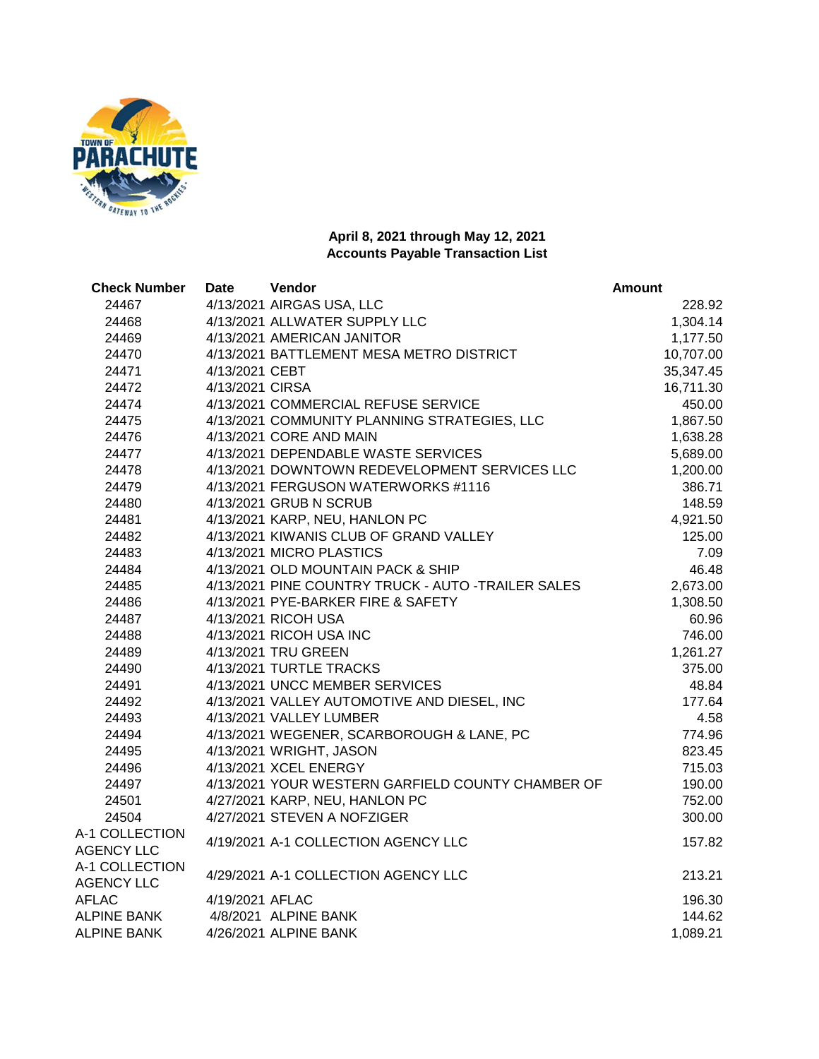

| <b>Check Number</b><br><b>Date</b>  | Vendor                                             | <b>Amount</b> |
|-------------------------------------|----------------------------------------------------|---------------|
| 24467                               | 4/13/2021 AIRGAS USA, LLC                          | 228.92        |
| 24468                               | 4/13/2021 ALLWATER SUPPLY LLC                      | 1,304.14      |
| 24469                               | 4/13/2021 AMERICAN JANITOR                         | 1,177.50      |
| 24470                               | 4/13/2021 BATTLEMENT MESA METRO DISTRICT           | 10,707.00     |
| 4/13/2021 CEBT<br>24471             |                                                    | 35,347.45     |
| 4/13/2021 CIRSA<br>24472            |                                                    | 16,711.30     |
| 24474                               | 4/13/2021 COMMERCIAL REFUSE SERVICE                | 450.00        |
| 24475                               | 4/13/2021 COMMUNITY PLANNING STRATEGIES, LLC       | 1,867.50      |
| 24476                               | 4/13/2021 CORE AND MAIN                            | 1,638.28      |
| 24477                               | 4/13/2021 DEPENDABLE WASTE SERVICES                | 5,689.00      |
| 24478                               | 4/13/2021 DOWNTOWN REDEVELOPMENT SERVICES LLC      | 1,200.00      |
| 24479                               | 4/13/2021 FERGUSON WATERWORKS #1116                | 386.71        |
| 24480                               | 4/13/2021 GRUB N SCRUB                             | 148.59        |
| 24481                               | 4/13/2021 KARP, NEU, HANLON PC                     | 4,921.50      |
| 24482                               | 4/13/2021 KIWANIS CLUB OF GRAND VALLEY             | 125.00        |
| 24483                               | 4/13/2021 MICRO PLASTICS                           | 7.09          |
| 24484                               | 4/13/2021 OLD MOUNTAIN PACK & SHIP                 | 46.48         |
| 24485                               | 4/13/2021 PINE COUNTRY TRUCK - AUTO -TRAILER SALES | 2,673.00      |
| 24486                               | 4/13/2021 PYE-BARKER FIRE & SAFETY                 | 1,308.50      |
| 24487                               | 4/13/2021 RICOH USA                                | 60.96         |
| 24488                               | 4/13/2021 RICOH USA INC                            | 746.00        |
| 24489                               | 4/13/2021 TRU GREEN                                | 1,261.27      |
| 24490                               | 4/13/2021 TURTLE TRACKS                            | 375.00        |
| 24491                               | 4/13/2021 UNCC MEMBER SERVICES                     | 48.84         |
| 24492                               | 4/13/2021 VALLEY AUTOMOTIVE AND DIESEL, INC        | 177.64        |
| 24493                               | 4/13/2021 VALLEY LUMBER                            | 4.58          |
| 24494                               | 4/13/2021 WEGENER, SCARBOROUGH & LANE, PC          | 774.96        |
| 24495                               | 4/13/2021 WRIGHT, JASON                            | 823.45        |
| 24496                               | 4/13/2021 XCEL ENERGY                              | 715.03        |
| 24497                               | 4/13/2021 YOUR WESTERN GARFIELD COUNTY CHAMBER OF  | 190.00        |
| 24501                               | 4/27/2021 KARP, NEU, HANLON PC                     | 752.00        |
| 24504                               | 4/27/2021 STEVEN A NOFZIGER                        | 300.00        |
| A-1 COLLECTION<br><b>AGENCY LLC</b> | 4/19/2021 A-1 COLLECTION AGENCY LLC                | 157.82        |
| A-1 COLLECTION<br><b>AGENCY LLC</b> | 4/29/2021 A-1 COLLECTION AGENCY LLC                | 213.21        |
| <b>AFLAC</b><br>4/19/2021 AFLAC     |                                                    | 196.30        |
| <b>ALPINE BANK</b>                  | 4/8/2021 ALPINE BANK                               | 144.62        |
| ALPINE BANK                         | 4/26/2021 ALPINE BANK                              | 1,089.21      |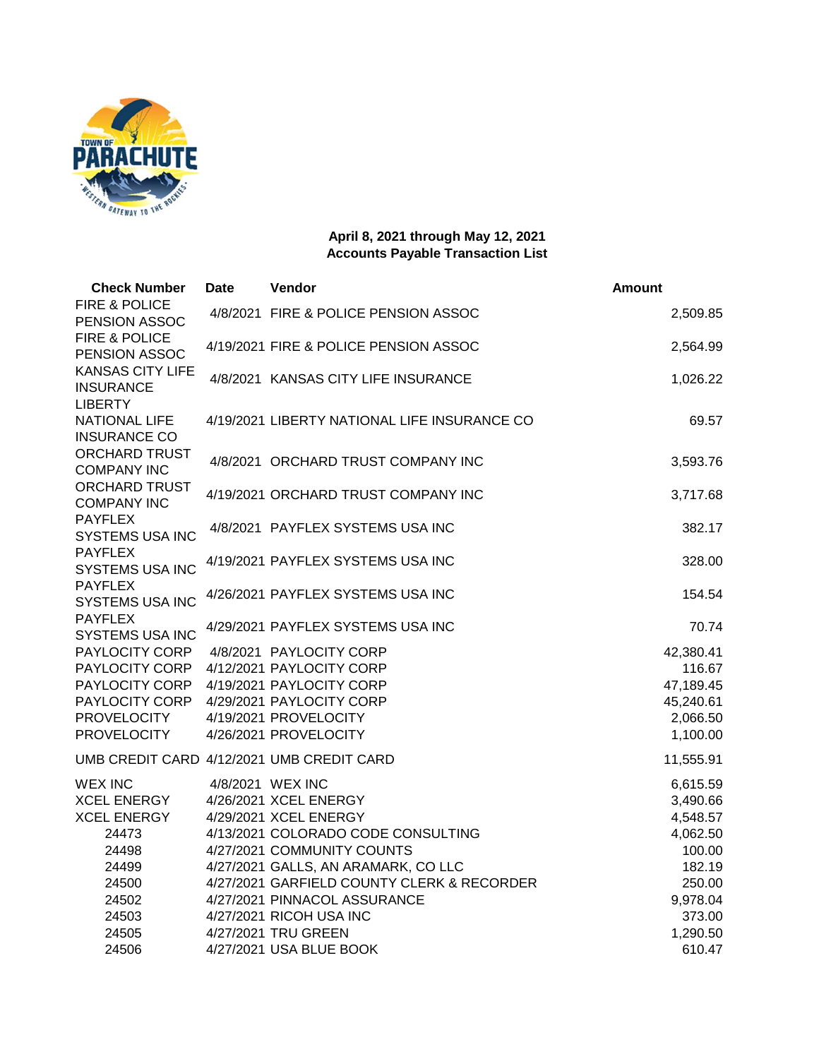

| <b>Check Number</b>                                    | <b>Date</b> | Vendor                                       | <b>Amount</b> |
|--------------------------------------------------------|-------------|----------------------------------------------|---------------|
| FIRE & POLICE<br>PENSION ASSOC                         |             | 4/8/2021 FIRE & POLICE PENSION ASSOC         | 2,509.85      |
| FIRE & POLICE<br>PENSION ASSOC                         |             | 4/19/2021 FIRE & POLICE PENSION ASSOC        | 2,564.99      |
| <b>KANSAS CITY LIFE</b><br><b>INSURANCE</b>            |             | 4/8/2021 KANSAS CITY LIFE INSURANCE          | 1,026.22      |
| <b>LIBERTY</b><br>NATIONAL LIFE<br><b>INSURANCE CO</b> |             | 4/19/2021 LIBERTY NATIONAL LIFE INSURANCE CO | 69.57         |
| <b>ORCHARD TRUST</b><br><b>COMPANY INC</b>             |             | 4/8/2021 ORCHARD TRUST COMPANY INC           | 3,593.76      |
| <b>ORCHARD TRUST</b><br><b>COMPANY INC</b>             |             | 4/19/2021 ORCHARD TRUST COMPANY INC          | 3,717.68      |
| <b>PAYFLEX</b><br><b>SYSTEMS USA INC</b>               |             | 4/8/2021 PAYFLEX SYSTEMS USA INC             | 382.17        |
| <b>PAYFLEX</b><br>SYSTEMS USA INC                      |             | 4/19/2021 PAYFLEX SYSTEMS USA INC            | 328.00        |
| <b>PAYFLEX</b><br><b>SYSTEMS USA INC</b>               |             | 4/26/2021 PAYFLEX SYSTEMS USA INC            | 154.54        |
| <b>PAYFLEX</b><br><b>SYSTEMS USA INC</b>               |             | 4/29/2021 PAYFLEX SYSTEMS USA INC            | 70.74         |
| PAYLOCITY CORP                                         |             | 4/8/2021 PAYLOCITY CORP                      | 42,380.41     |
| PAYLOCITY CORP                                         |             | 4/12/2021 PAYLOCITY CORP                     | 116.67        |
| PAYLOCITY CORP                                         |             | 4/19/2021 PAYLOCITY CORP                     | 47,189.45     |
| PAYLOCITY CORP                                         |             | 4/29/2021 PAYLOCITY CORP                     | 45,240.61     |
| <b>PROVELOCITY</b>                                     |             | 4/19/2021 PROVELOCITY                        | 2,066.50      |
| <b>PROVELOCITY</b>                                     |             | 4/26/2021 PROVELOCITY                        | 1,100.00      |
|                                                        |             | UMB CREDIT CARD 4/12/2021 UMB CREDIT CARD    | 11,555.91     |
| <b>WEX INC</b>                                         |             | 4/8/2021 WEX INC                             | 6,615.59      |
| <b>XCEL ENERGY</b>                                     |             | 4/26/2021 XCEL ENERGY                        | 3,490.66      |
| <b>XCEL ENERGY</b>                                     |             | 4/29/2021 XCEL ENERGY                        | 4,548.57      |
| 24473                                                  |             | 4/13/2021 COLORADO CODE CONSULTING           | 4,062.50      |
| 24498                                                  |             | 4/27/2021 COMMUNITY COUNTS                   | 100.00        |
| 24499                                                  |             | 4/27/2021 GALLS, AN ARAMARK, CO LLC          | 182.19        |
| 24500                                                  |             | 4/27/2021 GARFIELD COUNTY CLERK & RECORDER   | 250.00        |
| 24502                                                  |             | 4/27/2021 PINNACOL ASSURANCE                 | 9,978.04      |
| 24503                                                  |             | 4/27/2021 RICOH USA INC                      | 373.00        |
| 24505                                                  |             | 4/27/2021 TRU GREEN                          | 1,290.50      |
| 24506                                                  |             | 4/27/2021 USA BLUE BOOK                      | 610.47        |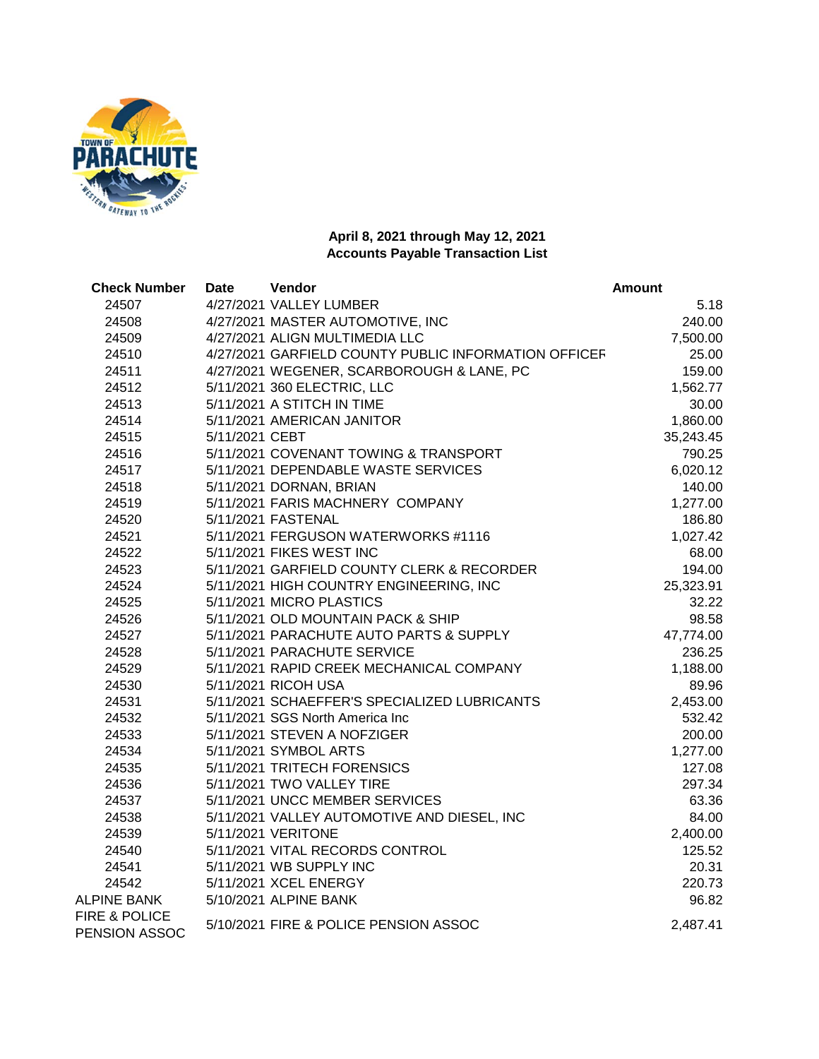

| <b>Check Number</b>                       | <b>Date</b>    | Vendor                                               | <b>Amount</b> |  |
|-------------------------------------------|----------------|------------------------------------------------------|---------------|--|
| 24507                                     |                | 4/27/2021 VALLEY LUMBER                              | 5.18          |  |
| 24508                                     |                | 4/27/2021 MASTER AUTOMOTIVE, INC                     | 240.00        |  |
| 24509                                     |                | 4/27/2021 ALIGN MULTIMEDIA LLC                       | 7,500.00      |  |
| 24510                                     |                | 4/27/2021 GARFIELD COUNTY PUBLIC INFORMATION OFFICER | 25.00         |  |
| 24511                                     |                | 4/27/2021 WEGENER, SCARBOROUGH & LANE, PC            | 159.00        |  |
| 24512                                     |                | 5/11/2021 360 ELECTRIC, LLC                          | 1,562.77      |  |
| 24513                                     |                | 5/11/2021 A STITCH IN TIME                           | 30.00         |  |
| 24514                                     |                | 5/11/2021 AMERICAN JANITOR                           | 1,860.00      |  |
| 24515                                     | 5/11/2021 CEBT |                                                      | 35,243.45     |  |
| 24516                                     |                | 5/11/2021 COVENANT TOWING & TRANSPORT                | 790.25        |  |
| 24517                                     |                | 5/11/2021 DEPENDABLE WASTE SERVICES                  | 6,020.12      |  |
| 24518                                     |                | 5/11/2021 DORNAN, BRIAN                              | 140.00        |  |
| 24519                                     |                | 5/11/2021 FARIS MACHNERY COMPANY                     | 1,277.00      |  |
| 24520                                     |                | 5/11/2021 FASTENAL                                   | 186.80        |  |
| 24521                                     |                | 5/11/2021 FERGUSON WATERWORKS #1116                  | 1,027.42      |  |
| 24522                                     |                | 5/11/2021 FIKES WEST INC                             | 68.00         |  |
| 24523                                     |                | 5/11/2021 GARFIELD COUNTY CLERK & RECORDER           | 194.00        |  |
| 24524                                     |                | 5/11/2021 HIGH COUNTRY ENGINEERING, INC              | 25,323.91     |  |
| 24525                                     |                | 5/11/2021 MICRO PLASTICS                             | 32.22         |  |
| 24526                                     |                | 5/11/2021 OLD MOUNTAIN PACK & SHIP                   | 98.58         |  |
| 24527                                     |                | 5/11/2021 PARACHUTE AUTO PARTS & SUPPLY              | 47,774.00     |  |
| 24528                                     |                | 5/11/2021 PARACHUTE SERVICE                          | 236.25        |  |
| 24529                                     |                | 5/11/2021 RAPID CREEK MECHANICAL COMPANY             | 1,188.00      |  |
| 24530                                     |                | 5/11/2021 RICOH USA                                  | 89.96         |  |
| 24531                                     |                | 5/11/2021 SCHAEFFER'S SPECIALIZED LUBRICANTS         | 2,453.00      |  |
| 24532                                     |                | 5/11/2021 SGS North America Inc                      | 532.42        |  |
| 24533                                     |                | 5/11/2021 STEVEN A NOFZIGER                          | 200.00        |  |
| 24534                                     |                | 5/11/2021 SYMBOL ARTS                                | 1,277.00      |  |
| 24535                                     |                | 5/11/2021 TRITECH FORENSICS                          | 127.08        |  |
| 24536                                     |                | 5/11/2021 TWO VALLEY TIRE                            | 297.34        |  |
| 24537                                     |                | 5/11/2021 UNCC MEMBER SERVICES                       | 63.36         |  |
| 24538                                     |                | 5/11/2021 VALLEY AUTOMOTIVE AND DIESEL, INC          | 84.00         |  |
| 24539                                     |                | 5/11/2021 VERITONE                                   | 2,400.00      |  |
| 24540                                     |                | 5/11/2021 VITAL RECORDS CONTROL                      | 125.52        |  |
| 24541                                     |                | 5/11/2021 WB SUPPLY INC                              | 20.31         |  |
| 24542                                     |                | 5/11/2021 XCEL ENERGY                                | 220.73        |  |
| ALPINE BANK                               |                | 5/10/2021 ALPINE BANK                                | 96.82         |  |
| <b>FIRE &amp; POLICE</b><br>PENSION ASSOC |                | 5/10/2021 FIRE & POLICE PENSION ASSOC                | 2,487.41      |  |